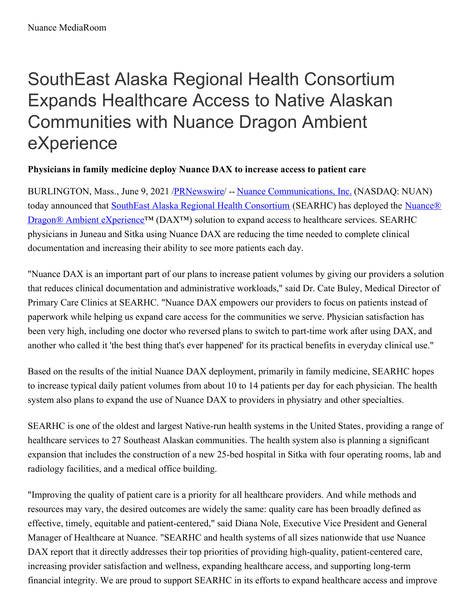## SouthEast Alaska Regional Health Consortium Expands Healthcare Access to Native Alaskan Communities with Nuance Dragon Ambient eXperience

## **Physicians in family medicine deploy Nuance DAX to increase access to patient care**

BURLINGTON, Mass., June 9, 2021 [/PRNewswire](http://www.prnewswire.com/)/ -- Nuance [Communications,](https://c212.net/c/link/?t=0&l=en&o=3190082-1&h=1111144084&u=https%3A%2F%2Fc212.net%2Fc%2Flink%2F%3Ft%3D0%26l%3Den%26o%3D3066734-1%26h%3D3366187871%26u%3Dhttps%253A%252F%252Fwww.nuance.com%252Findex.html%26a%3DNuance%2BCommunications%252C%2BInc.&a=Nuance+Communications%2C+Inc.) Inc. (NASDAQ: NUAN) today announced that **SouthEast Alaska Regional Health [Consortium](https://c212.net/c/link/?t=0&l=en&o=3190082-1&h=2178135214&u=https%3A%2F%2Fsearhc.org%2F&a=SouthEast+Alaska+Regional+Health+Consortium)** (SEARHC) has deployed the **Nuance®** Dragon<sup>®</sup> Ambient eXperience<sup>™</sup> (DAX<sup>™</sup>) solution to expand access to healthcare services. SEARHC physicians in Juneau and Sitka using Nuance DAX are reducing the time needed to complete clinical documentation and increasing their ability to see more patients each day.

"Nuance DAX is an important part of our plans to increase patient volumes by giving our providers a solution that reduces clinical documentation and administrative workloads," said Dr. Cate Buley, Medical Director of Primary Care Clinics at SEARHC. "Nuance DAX empowers our providers to focus on patients instead of paperwork while helping us expand care access for the communities we serve. Physician satisfaction has been very high, including one doctor who reversed plans to switch to part-time work after using DAX, and another who called it 'the best thing that's ever happened' for its practical benefits in everyday clinical use."

Based on the results of the initial Nuance DAX deployment, primarily in family medicine, SEARHC hopes to increase typical daily patient volumes from about 10 to 14 patients per day for each physician. The health system also plans to expand the use of Nuance DAX to providers in physiatry and other specialties.

SEARHC is one of the oldest and largest Native-run health systems in the United States, providing a range of healthcare services to 27 Southeast Alaskan communities. The health system also is planning a significant expansion that includes the construction of a new 25-bed hospital in Sitka with four operating rooms, lab and radiology facilities, and a medical office building.

"Improving the quality of patient care is a priority for all healthcare providers. And while methods and resources may vary, the desired outcomes are widely the same: quality care has been broadly defined as effective, timely, equitable and patient-centered," said Diana Nole, Executive Vice President and General Manager of Healthcare at Nuance. "SEARHC and health systems of all sizes nationwide that use Nuance DAX report that it directly addresses their top priorities of providing high-quality, patient-centered care, increasing provider satisfaction and wellness, expanding healthcare access, and supporting long-term financial integrity. We are proud to support SEARHC in its efforts to expand healthcare access and improve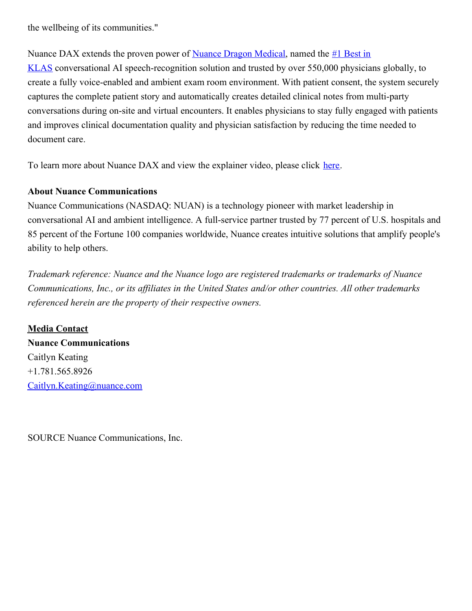the wellbeing of its communities."

Nuance DAX extends the proven power of Nuance Dragon [Medical](https://c212.net/c/link/?t=0&l=en&o=3190082-1&h=2765419011&u=https%3A%2F%2Fc212.net%2Fc%2Flink%2F%3Ft%3D0%26l%3Den%26o%3D3066734-1%26h%3D2405843123%26u%3Dhttps%253A%252F%252Fwww.nuance.com%252Fhealthcare%252Fprovider-solutions%252Fspeech-recognition%252Fdragon-medical-one.html%26a%3DNuance%2BDragon%2BMedical&a=Nuance+Dragon+Medical), named the  $#1$  Best in KLAS conversational AI [speech-recognition](https://c212.net/c/link/?t=0&l=en&o=3190082-1&h=2348645935&u=https%3A%2F%2Fc212.net%2Fc%2Flink%2F%3Ft%3D0%26l%3Den%26o%3D3066734-1%26h%3D1319259609%26u%3Dhttps%253A%252F%252Fnews.nuance.com%252F2021-02-02-Nuance-Dragon-Medical-One-Earns-1-Best-in-KLAS-Award-for-Speech-Recognition-Front-End-EMR%2523%253A%257E%253Atext%253D(NASDAQ%25253A%252520NUAN)%252520today%252520announced%252Cand%252520document%252520better%252520patient%252520care.%26a%3D%25231%2BBest%2Bin%2BKLAS&a=%231+Best+in+KLAS) solution and trusted by over 550,000 physicians globally, to create a fully voice-enabled and ambient exam room environment. With patient consent, the system securely captures the complete patient story and automatically creates detailed clinical notes from multi-party conversations during on-site and virtual encounters. It enables physicians to stay fully engaged with patients and improves clinical documentation quality and physician satisfaction by reducing the time needed to document care.

To learn more about Nuance DAX and view the explainer video, please click [here](https://c212.net/c/link/?t=0&l=en&o=3190082-1&h=159231327&u=https%3A%2F%2Fc212.net%2Fc%2Flink%2F%3Ft%3D0%26l%3Den%26o%3D3066734-1%26h%3D3789451295%26u%3Dhttps%253A%252F%252Fwww.nuance.com%252Fambient%26a%3Dhere&a=here).

## **About Nuance Communications**

Nuance Communications (NASDAQ: NUAN) is a technology pioneer with market leadership in conversational AI and ambient intelligence. A full-service partner trusted by 77 percent of U.S. hospitals and 85 percent of the Fortune 100 companies worldwide, Nuance creates intuitive solutions that amplify people's ability to help others.

*Trademark reference: Nuance and the Nuance logo are registered trademarks or trademarks of Nuance Communications, Inc., or its af iliates in the United States and/or other countries. All other trademarks referenced herein are the property of their respective owners.*

**Media Contact Nuance Communications** Caitlyn Keating +1.781.565.8926 [Caitlyn.Keating@nuance.com](mailto:Caitlyn.Keating@nuance.com)

SOURCE Nuance Communications, Inc.